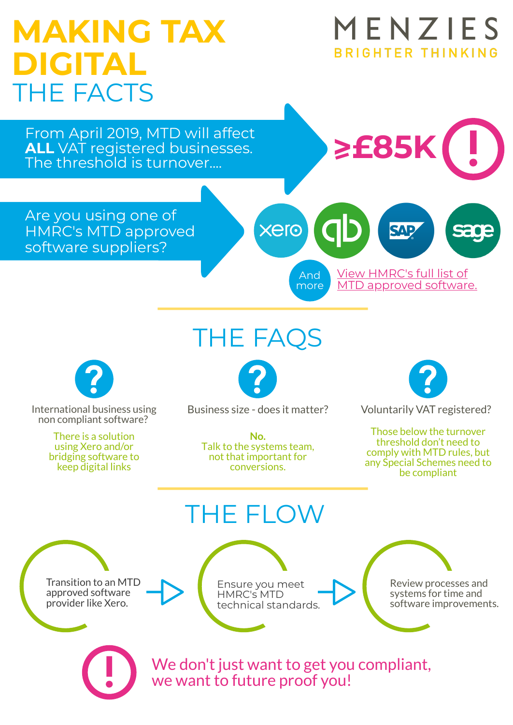### MENZIES **MAKING TAX** BRIGHTER THINKING **DIGITAL** THE FACTS From April 2019, MTD will affect **>I £85K ALL** VAT registered businesses. The threshold is turnover.... Are you using one of xero HMRC's MTD approved software suppliers? View HMRC's full list of And MTD [approved](https://www.gov.uk/government/publications/software-suppliers-supporting-making-tax-digital-for-vat/software-suppliers-supporting-making-tax-digital-for-vat) software. more THE FAQS Business size - does it matter? Voluntarily VAT registered? International business using non compliant software? Those below the turnover There is a solution **No.** threshold don't need to using Xero and/or Talk to the systems team, comply with MTD rules, but not that important for bridging software to any Special Schemes need to keep digital links conversions. be compliant THE FLOW Transition to an MTD Review processes and Ensure you meet approved software systems for time and HMRC's MTD provider like Xero. technical standards.software improvements. We don't just want to get you compliant,

we want to future proof you!